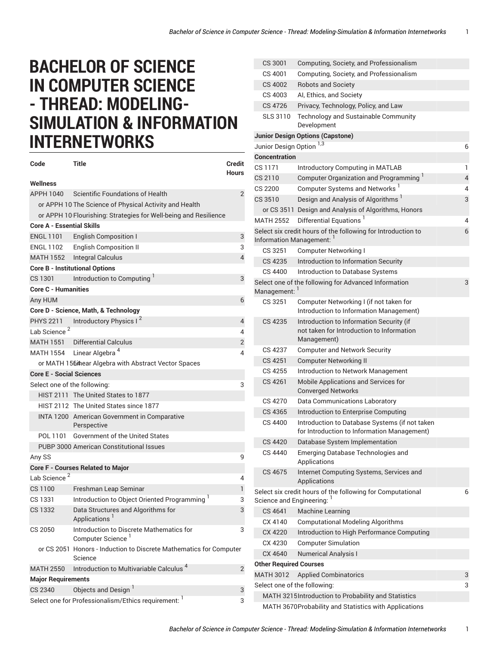## **BACHELOR OF SCIENCE IN COMPUTER SCIENCE - THREAD: MODELING-SIMULATION & INFORMATION INTERNETWORKS**

| Code                                                      | Title                                                                         | <b>Credit</b><br><b>Hours</b> |  |  |
|-----------------------------------------------------------|-------------------------------------------------------------------------------|-------------------------------|--|--|
| Wellness                                                  |                                                                               |                               |  |  |
| APPH 1040                                                 | Scientific Foundations of Health                                              | $\overline{2}$                |  |  |
|                                                           | or APPH 10 The Science of Physical Activity and Health                        |                               |  |  |
|                                                           | or APPH 10 Flourishing: Strategies for Well-being and Resilience              |                               |  |  |
| <b>Core A - Essential Skills</b>                          |                                                                               |                               |  |  |
| <b>ENGL 1101</b>                                          | English Composition I                                                         | 3                             |  |  |
|                                                           | ENGL 1102 English Composition II                                              | 3                             |  |  |
|                                                           | MATH 1552 Integral Calculus                                                   | $\overline{4}$                |  |  |
|                                                           | <b>Core B - Institutional Options</b>                                         |                               |  |  |
| CS 1301                                                   | Introduction to Computing                                                     | 3                             |  |  |
| <b>Core C - Humanities</b>                                |                                                                               |                               |  |  |
| Any HUM                                                   |                                                                               | 6                             |  |  |
|                                                           | Core D - Science, Math, & Technology                                          |                               |  |  |
| PHYS 2211                                                 | Introductory Physics I <sup>2</sup>                                           | 4                             |  |  |
| Lab Science <sup>2</sup>                                  |                                                                               | 4                             |  |  |
|                                                           | <b>MATH 1551</b> Differential Calculus                                        | 2                             |  |  |
|                                                           | MATH 1554 Linear Algebra <sup>4</sup>                                         | 4                             |  |  |
|                                                           | or MATH 156 thear Algebra with Abstract Vector Spaces                         |                               |  |  |
| <b>Core E - Social Sciences</b>                           |                                                                               |                               |  |  |
| Select one of the following:                              |                                                                               | 3                             |  |  |
|                                                           | HIST 2111 The United States to 1877                                           |                               |  |  |
|                                                           | HIST 2112 The United States since 1877                                        |                               |  |  |
|                                                           | INTA 1200 American Government in Comparative<br>Perspective                   |                               |  |  |
| POL 1101                                                  | Government of the United States                                               |                               |  |  |
|                                                           | PUBP 3000 American Constitutional Issues                                      |                               |  |  |
| Any SS                                                    |                                                                               | 9                             |  |  |
|                                                           | <b>Core F - Courses Related to Major</b>                                      |                               |  |  |
| Lab Science <sup>2</sup>                                  |                                                                               | 4                             |  |  |
| CS 1100                                                   | Freshman Leap Seminar                                                         | 1                             |  |  |
| CS 1331                                                   | Introduction to Object Oriented Programming <sup>1</sup>                      | 3                             |  |  |
| CS 1332                                                   | Data Structures and Algorithms for<br>Applications <sup>1</sup>               | 3                             |  |  |
| CS 2050                                                   | Introduction to Discrete Mathematics for<br>Computer Science <sup>1</sup>     |                               |  |  |
|                                                           | or CS 2051 Honors - Induction to Discrete Mathematics for Computer<br>Science |                               |  |  |
| <b>MATH 2550</b>                                          | Introduction to Multivariable Calculus <sup>4</sup>                           | 2                             |  |  |
| <b>Major Requirements</b>                                 |                                                                               |                               |  |  |
| <b>CS 2340</b>                                            | Objects and Design <sup>1</sup>                                               | 3                             |  |  |
| Select one for Professionalism/Ethics requirement: 1<br>3 |                                                                               |                               |  |  |

| CS 3001                                               | Computing, Society, and Professionalism                                                              |   |  |
|-------------------------------------------------------|------------------------------------------------------------------------------------------------------|---|--|
| CS 4001                                               | Computing, Society, and Professionalism                                                              |   |  |
| CS 4002                                               | <b>Robots and Society</b>                                                                            |   |  |
| CS 4003                                               | AI, Ethics, and Society                                                                              |   |  |
| CS 4726                                               | Privacy, Technology, Policy, and Law                                                                 |   |  |
| SLS 3110                                              | Technology and Sustainable Community<br>Development                                                  |   |  |
|                                                       | <b>Junior Design Options (Capstone)</b>                                                              |   |  |
| Junior Design Option <sup>1,3</sup>                   |                                                                                                      | 6 |  |
| <b>Concentration</b>                                  |                                                                                                      |   |  |
| CS 1171                                               | <b>Introductory Computing in MATLAB</b>                                                              | 1 |  |
| CS 2110                                               | Computer Organization and Programming <sup>1</sup>                                                   | 4 |  |
| CS 2200                                               | Computer Systems and Networks <sup>1</sup>                                                           | 4 |  |
| CS 3510                                               | Design and Analysis of Algorithms <sup>1</sup>                                                       | 3 |  |
|                                                       | or CS 3511 Design and Analysis of Algorithms, Honors                                                 |   |  |
| MATH 2552                                             | Differential Equations <sup>1</sup>                                                                  | 4 |  |
|                                                       | Select six credit hours of the following for Introduction to<br>Information Management: 1            | 6 |  |
| CS 3251                                               | <b>Computer Networking I</b>                                                                         |   |  |
| CS 4235                                               | Introduction to Information Security                                                                 |   |  |
| CS 4400                                               | Introduction to Database Systems                                                                     |   |  |
| Management: 1                                         | Select one of the following for Advanced Information                                                 | 3 |  |
| CS 3251                                               | Computer Networking I (if not taken for<br>Introduction to Information Management)                   |   |  |
| CS 4235                                               | Introduction to Information Security (if<br>not taken for Introduction to Information<br>Management) |   |  |
| CS 4237                                               | <b>Computer and Network Security</b>                                                                 |   |  |
| CS 4251                                               | <b>Computer Networking II</b>                                                                        |   |  |
| CS 4255                                               | Introduction to Network Management                                                                   |   |  |
| CS 4261                                               | Mobile Applications and Services for<br><b>Converged Networks</b>                                    |   |  |
| CS 4270                                               | Data Communications Laboratory                                                                       |   |  |
| CS 4365                                               | Introduction to Enterprise Computing                                                                 |   |  |
| CS 4400                                               | Introduction to Database Systems (if not taken<br>for Introduction to Information Management)        |   |  |
| CS 4420                                               | Database System Implementation                                                                       |   |  |
| CS 4440                                               | <b>Emerging Database Technologies and</b><br>Applications                                            |   |  |
| CS 4675                                               | Internet Computing Systems, Services and<br>Applications                                             |   |  |
| Science and Engineering: 1                            | Select six credit hours of the following for Computational                                           | 6 |  |
| CS 4641                                               | <b>Machine Learning</b>                                                                              |   |  |
| CX 4140                                               | <b>Computational Modeling Algorithms</b>                                                             |   |  |
| CX 4220                                               | Introduction to High Performance Computing                                                           |   |  |
| CX 4230                                               | <b>Computer Simulation</b>                                                                           |   |  |
| CX 4640                                               | <b>Numerical Analysis I</b>                                                                          |   |  |
| <b>Other Required Courses</b>                         |                                                                                                      |   |  |
| <b>MATH 3012</b><br><b>Applied Combinatorics</b>      |                                                                                                      |   |  |
| Select one of the following:                          |                                                                                                      |   |  |
| MATH 3215 Introduction to Probability and Statistics  |                                                                                                      |   |  |
| MATH 3670Probability and Statistics with Applications |                                                                                                      |   |  |